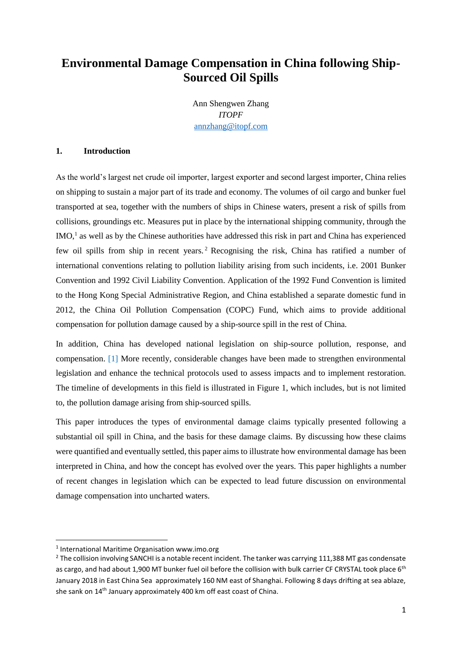# **Environmental Damage Compensation in China following Ship-Sourced Oil Spills**

Ann Shengwen Zhang *ITOPF* [annzhang@itopf.com](mailto:annzhang@itopf.com)

### **1. Introduction**

As the world's largest net crude oil importer, largest exporter and second largest importer, China relies on shipping to sustain a major part of its trade and economy. The volumes of oil cargo and bunker fuel transported at sea, together with the numbers of ships in Chinese waters, present a risk of spills from collisions, groundings etc. Measures put in place by the international shipping community, through the IMO,<sup>1</sup> as well as by the Chinese authorities have addressed this risk in part and China has experienced few oil spills from ship in recent years. <sup>2</sup> Recognising the risk, China has ratified a number of international conventions relating to pollution liability arising from such incidents, i.e. 2001 Bunker Convention and 1992 Civil Liability Convention. Application of the 1992 Fund Convention is limited to the Hong Kong Special Administrative Region, and China established a separate domestic fund in 2012, the China Oil Pollution Compensation (COPC) Fund, which aims to provide additional compensation for pollution damage caused by a ship-source spill in the rest of China.

In addition, China has developed national legislation on ship-source pollution, response, and compensation. [1] More recently, considerable changes have been made to strengthen environmental legislation and enhance the technical protocols used to assess impacts and to implement restoration. The timeline of developments in this field is illustrated in Figure 1, which includes, but is not limited to, the pollution damage arising from ship-sourced spills.

This paper introduces the types of environmental damage claims typically presented following a substantial oil spill in China, and the basis for these damage claims. By discussing how these claims were quantified and eventually settled, this paper aims to illustrate how environmental damage has been interpreted in China, and how the concept has evolved over the years. This paper highlights a number of recent changes in legislation which can be expected to lead future discussion on environmental damage compensation into uncharted waters.

1

<sup>&</sup>lt;sup>1</sup> International Maritime Organisation www.imo.org

<sup>&</sup>lt;sup>2</sup> The collision involving SANCHI is a notable recent incident. The tanker was carrying 111,388 MT gas condensate as cargo, and had about 1,900 MT bunker fuel oil before the collision with bulk carrier CF CRYSTAL took place 6<sup>th</sup> January 2018 in East China Sea approximately 160 NM east of Shanghai. Following 8 days drifting at sea ablaze, she sank on 14th January approximately 400 km off east coast of China.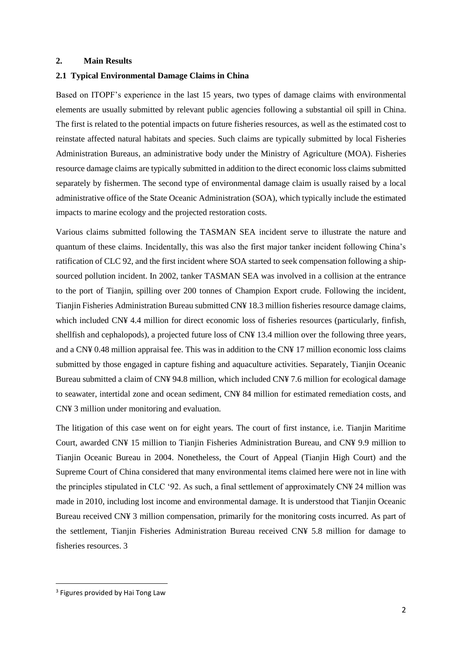#### **2. Main Results**

#### **2.1 Typical Environmental Damage Claims in China**

Based on ITOPF's experience in the last 15 years, two types of damage claims with environmental elements are usually submitted by relevant public agencies following a substantial oil spill in China. The first is related to the potential impacts on future fisheries resources, as well as the estimated cost to reinstate affected natural habitats and species. Such claims are typically submitted by local Fisheries Administration Bureaus, an administrative body under the Ministry of Agriculture (MOA). Fisheries resource damage claims are typically submitted in addition to the direct economic loss claims submitted separately by fishermen. The second type of environmental damage claim is usually raised by a local administrative office of the State Oceanic Administration (SOA), which typically include the estimated impacts to marine ecology and the projected restoration costs.

Various claims submitted following the TASMAN SEA incident serve to illustrate the nature and quantum of these claims. Incidentally, this was also the first major tanker incident following China's ratification of CLC 92, and the first incident where SOA started to seek compensation following a shipsourced pollution incident. In 2002, tanker TASMAN SEA was involved in a collision at the entrance to the port of Tianjin, spilling over 200 tonnes of Champion Export crude. Following the incident, Tianjin Fisheries Administration Bureau submitted CN¥ 18.3 million fisheries resource damage claims, which included CN¥ 4.4 million for direct economic loss of fisheries resources (particularly, finfish, shellfish and cephalopods), a projected future loss of CN¥ 13.4 million over the following three years, and a CN¥ 0.48 million appraisal fee. This was in addition to the CN¥ 17 million economic loss claims submitted by those engaged in capture fishing and aquaculture activities. Separately, Tianjin Oceanic Bureau submitted a claim of CN¥ 94.8 million, which included CN¥ 7.6 million for ecological damage to seawater, intertidal zone and ocean sediment, CN¥ 84 million for estimated remediation costs, and CN¥ 3 million under monitoring and evaluation.

The litigation of this case went on for eight years. The court of first instance, i.e. Tianjin Maritime Court, awarded CN¥ 15 million to Tianjin Fisheries Administration Bureau, and CN¥ 9.9 million to Tianjin Oceanic Bureau in 2004. Nonetheless, the Court of Appeal (Tianjin High Court) and the Supreme Court of China considered that many environmental items claimed here were not in line with the principles stipulated in CLC '92. As such, a final settlement of approximately CN¥ 24 million was made in 2010, including lost income and environmental damage. It is understood that Tianjin Oceanic Bureau received CN¥ 3 million compensation, primarily for the monitoring costs incurred. As part of the settlement, Tianjin Fisheries Administration Bureau received CN¥ 5.8 million for damage to fisheries resources. 3

<sup>&</sup>lt;sup>3</sup> Figures provided by Hai Tong Law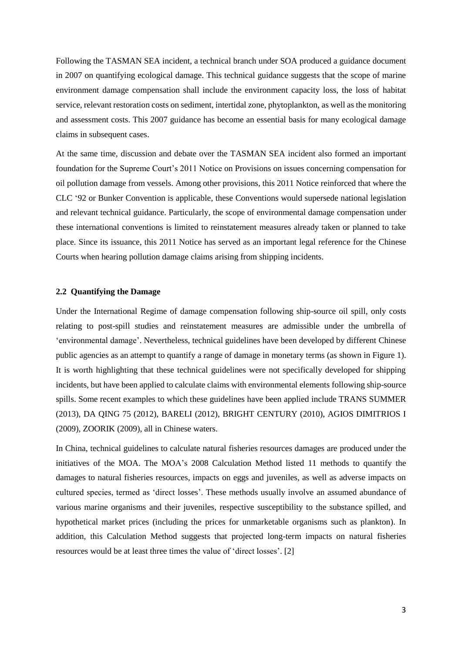Following the TASMAN SEA incident, a technical branch under SOA produced a guidance document in 2007 on quantifying ecological damage. This technical guidance suggests that the scope of marine environment damage compensation shall include the environment capacity loss, the loss of habitat service, relevant restoration costs on sediment, intertidal zone, phytoplankton, as well as the monitoring and assessment costs. This 2007 guidance has become an essential basis for many ecological damage claims in subsequent cases.

At the same time, discussion and debate over the TASMAN SEA incident also formed an important foundation for the Supreme Court's 2011 Notice on Provisions on issues concerning compensation for oil pollution damage from vessels. Among other provisions, this 2011 Notice reinforced that where the CLC '92 or Bunker Convention is applicable, these Conventions would supersede national legislation and relevant technical guidance. Particularly, the scope of environmental damage compensation under these international conventions is limited to reinstatement measures already taken or planned to take place. Since its issuance, this 2011 Notice has served as an important legal reference for the Chinese Courts when hearing pollution damage claims arising from shipping incidents.

## **2.2 Quantifying the Damage**

Under the International Regime of damage compensation following ship-source oil spill, only costs relating to post-spill studies and reinstatement measures are admissible under the umbrella of 'environmental damage'. Nevertheless, technical guidelines have been developed by different Chinese public agencies as an attempt to quantify a range of damage in monetary terms (as shown in Figure 1). It is worth highlighting that these technical guidelines were not specifically developed for shipping incidents, but have been applied to calculate claims with environmental elements following ship-source spills. Some recent examples to which these guidelines have been applied include TRANS SUMMER (2013), DA QING 75 (2012), BARELI (2012), BRIGHT CENTURY (2010), AGIOS DIMITRIOS I (2009), ZOORIK (2009), all in Chinese waters.

In China, technical guidelines to calculate natural fisheries resources damages are produced under the initiatives of the MOA. The MOA's 2008 Calculation Method listed 11 methods to quantify the damages to natural fisheries resources, impacts on eggs and juveniles, as well as adverse impacts on cultured species, termed as 'direct losses'. These methods usually involve an assumed abundance of various marine organisms and their juveniles, respective susceptibility to the substance spilled, and hypothetical market prices (including the prices for unmarketable organisms such as plankton). In addition, this Calculation Method suggests that projected long-term impacts on natural fisheries resources would be at least three times the value of 'direct losses'. [2]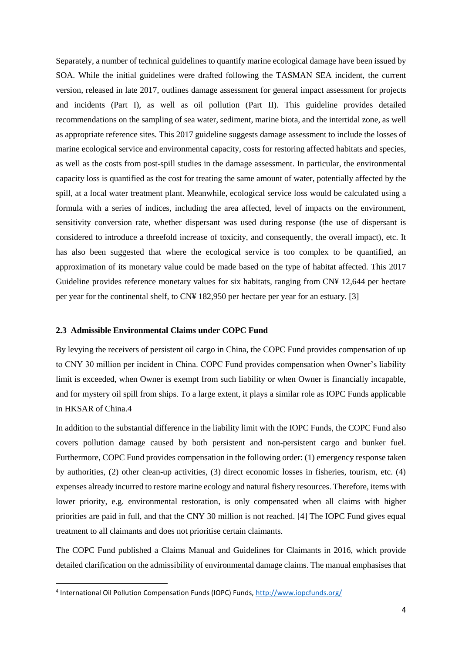Separately, a number of technical guidelines to quantify marine ecological damage have been issued by SOA. While the initial guidelines were drafted following the TASMAN SEA incident, the current version, released in late 2017, outlines damage assessment for general impact assessment for projects and incidents (Part I), as well as oil pollution (Part II). This guideline provides detailed recommendations on the sampling of sea water, sediment, marine biota, and the intertidal zone, as well as appropriate reference sites. This 2017 guideline suggests damage assessment to include the losses of marine ecological service and environmental capacity, costs for restoring affected habitats and species, as well as the costs from post-spill studies in the damage assessment. In particular, the environmental capacity loss is quantified as the cost for treating the same amount of water, potentially affected by the spill, at a local water treatment plant. Meanwhile, ecological service loss would be calculated using a formula with a series of indices, including the area affected, level of impacts on the environment, sensitivity conversion rate, whether dispersant was used during response (the use of dispersant is considered to introduce a threefold increase of toxicity, and consequently, the overall impact), etc. It has also been suggested that where the ecological service is too complex to be quantified, an approximation of its monetary value could be made based on the type of habitat affected. This 2017 Guideline provides reference monetary values for six habitats, ranging from CN¥ 12,644 per hectare per year for the continental shelf, to CN¥ 182,950 per hectare per year for an estuary. [3]

#### **2.3 Admissible Environmental Claims under COPC Fund**

By levying the receivers of persistent oil cargo in China, the COPC Fund provides compensation of up to CNY 30 million per incident in China. COPC Fund provides compensation when Owner's liability limit is exceeded, when Owner is exempt from such liability or when Owner is financially incapable, and for mystery oil spill from ships. To a large extent, it plays a similar role as IOPC Funds applicable in HKSAR of China.4

In addition to the substantial difference in the liability limit with the IOPC Funds, the COPC Fund also covers pollution damage caused by both persistent and non-persistent cargo and bunker fuel. Furthermore, COPC Fund provides compensation in the following order: (1) emergency response taken by authorities, (2) other clean-up activities, (3) direct economic losses in fisheries, tourism, etc. (4) expenses already incurred to restore marine ecology and natural fishery resources. Therefore, items with lower priority, e.g. environmental restoration, is only compensated when all claims with higher priorities are paid in full, and that the CNY 30 million is not reached. [4] The IOPC Fund gives equal treatment to all claimants and does not prioritise certain claimants.

The COPC Fund published a Claims Manual and Guidelines for Claimants in 2016, which provide detailed clarification on the admissibility of environmental damage claims. The manual emphasises that

<sup>&</sup>lt;sup>4</sup> International Oil Pollution Compensation Funds (IOPC) Funds[, http://www.iopcfunds.org/](http://www.iopcfunds.org/)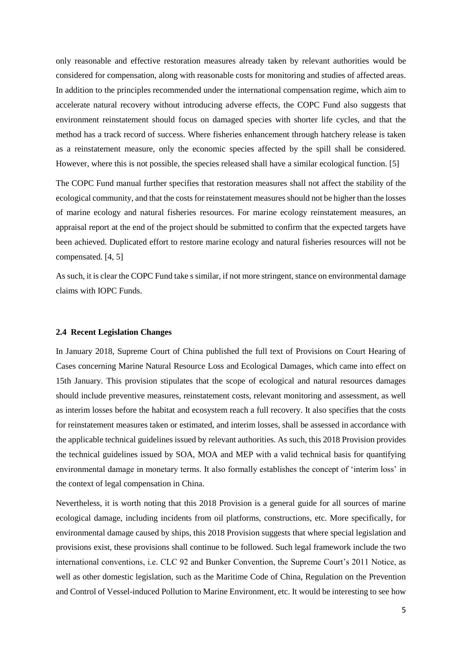only reasonable and effective restoration measures already taken by relevant authorities would be considered for compensation, along with reasonable costs for monitoring and studies of affected areas. In addition to the principles recommended under the international compensation regime, which aim to accelerate natural recovery without introducing adverse effects, the COPC Fund also suggests that environment reinstatement should focus on damaged species with shorter life cycles, and that the method has a track record of success. Where fisheries enhancement through hatchery release is taken as a reinstatement measure, only the economic species affected by the spill shall be considered. However, where this is not possible, the species released shall have a similar ecological function. [5]

The COPC Fund manual further specifies that restoration measures shall not affect the stability of the ecological community, and that the costs for reinstatement measures should not be higher than the losses of marine ecology and natural fisheries resources. For marine ecology reinstatement measures, an appraisal report at the end of the project should be submitted to confirm that the expected targets have been achieved. Duplicated effort to restore marine ecology and natural fisheries resources will not be compensated. [4, 5]

As such, it is clear the COPC Fund take s similar, if not more stringent, stance on environmental damage claims with IOPC Funds.

#### **2.4 Recent Legislation Changes**

In January 2018, Supreme Court of China published the full text of Provisions on Court Hearing of Cases concerning Marine Natural Resource Loss and Ecological Damages, which came into effect on 15th January. This provision stipulates that the scope of ecological and natural resources damages should include preventive measures, reinstatement costs, relevant monitoring and assessment, as well as interim losses before the habitat and ecosystem reach a full recovery. It also specifies that the costs for reinstatement measures taken or estimated, and interim losses, shall be assessed in accordance with the applicable technical guidelines issued by relevant authorities. As such, this 2018 Provision provides the technical guidelines issued by SOA, MOA and MEP with a valid technical basis for quantifying environmental damage in monetary terms. It also formally establishes the concept of 'interim loss' in the context of legal compensation in China.

Nevertheless, it is worth noting that this 2018 Provision is a general guide for all sources of marine ecological damage, including incidents from oil platforms, constructions, etc. More specifically, for environmental damage caused by ships, this 2018 Provision suggests that where special legislation and provisions exist, these provisions shall continue to be followed. Such legal framework include the two international conventions, i.e. CLC 92 and Bunker Convention, the Supreme Court's 2011 Notice, as well as other domestic legislation, such as the Maritime Code of China, Regulation on the Prevention and Control of Vessel-induced Pollution to Marine Environment, etc. It would be interesting to see how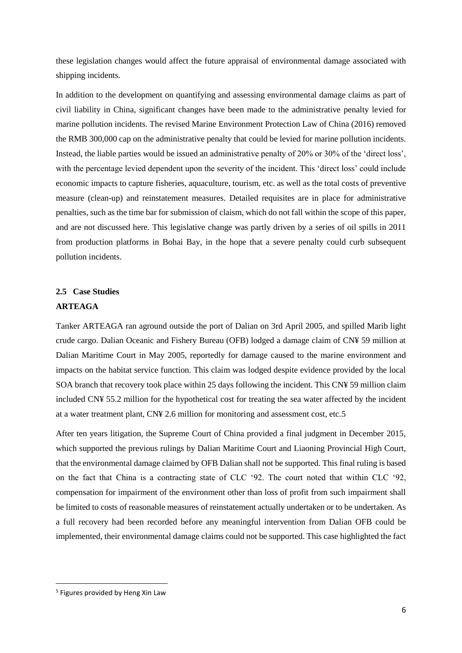these legislation changes would affect the future appraisal of environmental damage associated with shipping incidents.

In addition to the development on quantifying and assessing environmental damage claims as part of civil liability in China, significant changes have been made to the administrative penalty levied for marine pollution incidents. The revised Marine Environment Protection Law of China (2016) removed the RMB 300,000 cap on the administrative penalty that could be levied for marine pollution incidents. Instead, the liable parties would be issued an administrative penalty of 20% or 30% of the 'direct loss', with the percentage levied dependent upon the severity of the incident. This 'direct loss' could include economic impacts to capture fisheries, aquaculture, tourism, etc. as well as the total costs of preventive measure (clean-up) and reinstatement measures. Detailed requisites are in place for administrative penalties, such as the time bar for submission of claism, which do not fall within the scope of this paper, and are not discussed here. This legislative change was partly driven by a series of oil spills in 2011 from production platforms in Bohai Bay, in the hope that a severe penalty could curb subsequent pollution incidents.

# **2.5 Case Studies ARTEAGA**

Tanker ARTEAGA ran aground outside the port of Dalian on 3rd April 2005, and spilled Marib light crude cargo. Dalian Oceanic and Fishery Bureau (OFB) lodged a damage claim of CN¥ 59 million at Dalian Maritime Court in May 2005, reportedly for damage caused to the marine environment and impacts on the habitat service function. This claim was lodged despite evidence provided by the local SOA branch that recovery took place within 25 days following the incident. This CN¥ 59 million claim included CN¥ 55.2 million for the hypothetical cost for treating the sea water affected by the incident at a water treatment plant, CN¥ 2.6 million for monitoring and assessment cost, etc.5

After ten years litigation, the Supreme Court of China provided a final judgment in December 2015, which supported the previous rulings by Dalian Maritime Court and Liaoning Provincial High Court, that the environmental damage claimed by OFB Dalian shall not be supported. This final ruling is based on the fact that China is a contracting state of CLC '92. The court noted that within CLC '92, compensation for impairment of the environment other than loss of profit from such impairment shall be limited to costs of reasonable measures of reinstatement actually undertaken or to be undertaken. As a full recovery had been recorded before any meaningful intervention from Dalian OFB could be implemented, their environmental damage claims could not be supported. This case highlighted the fact

<sup>5</sup> Figures provided by Heng Xin Law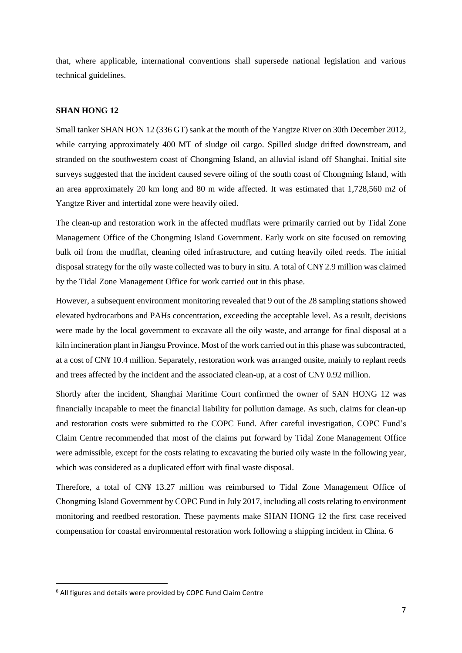that, where applicable, international conventions shall supersede national legislation and various technical guidelines.

#### **SHAN HONG 12**

Small tanker SHAN HON 12 (336 GT) sank at the mouth of the Yangtze River on 30th December 2012, while carrying approximately 400 MT of sludge oil cargo. Spilled sludge drifted downstream, and stranded on the southwestern coast of Chongming Island, an alluvial island off Shanghai. Initial site surveys suggested that the incident caused severe oiling of the south coast of Chongming Island, with an area approximately 20 km long and 80 m wide affected. It was estimated that 1,728,560 m2 of Yangtze River and intertidal zone were heavily oiled.

The clean-up and restoration work in the affected mudflats were primarily carried out by Tidal Zone Management Office of the Chongming Island Government. Early work on site focused on removing bulk oil from the mudflat, cleaning oiled infrastructure, and cutting heavily oiled reeds. The initial disposal strategy for the oily waste collected was to bury in situ. A total of CN¥ 2.9 million was claimed by the Tidal Zone Management Office for work carried out in this phase.

However, a subsequent environment monitoring revealed that 9 out of the 28 sampling stations showed elevated hydrocarbons and PAHs concentration, exceeding the acceptable level. As a result, decisions were made by the local government to excavate all the oily waste, and arrange for final disposal at a kiln incineration plant in Jiangsu Province. Most of the work carried out in this phase was subcontracted, at a cost of CN¥ 10.4 million. Separately, restoration work was arranged onsite, mainly to replant reeds and trees affected by the incident and the associated clean-up, at a cost of CN¥ 0.92 million.

Shortly after the incident, Shanghai Maritime Court confirmed the owner of SAN HONG 12 was financially incapable to meet the financial liability for pollution damage. As such, claims for clean-up and restoration costs were submitted to the COPC Fund. After careful investigation, COPC Fund's Claim Centre recommended that most of the claims put forward by Tidal Zone Management Office were admissible, except for the costs relating to excavating the buried oily waste in the following year, which was considered as a duplicated effort with final waste disposal.

Therefore, a total of CN¥ 13.27 million was reimbursed to Tidal Zone Management Office of Chongming Island Government by COPC Fund in July 2017, including all costs relating to environment monitoring and reedbed restoration. These payments make SHAN HONG 12 the first case received compensation for coastal environmental restoration work following a shipping incident in China. 6

<sup>6</sup> All figures and details were provided by COPC Fund Claim Centre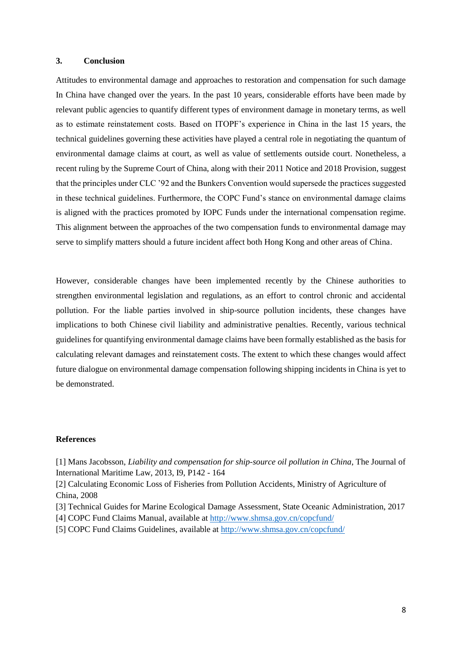#### **3. Conclusion**

Attitudes to environmental damage and approaches to restoration and compensation for such damage In China have changed over the years. In the past 10 years, considerable efforts have been made by relevant public agencies to quantify different types of environment damage in monetary terms, as well as to estimate reinstatement costs. Based on ITOPF's experience in China in the last 15 years, the technical guidelines governing these activities have played a central role in negotiating the quantum of environmental damage claims at court, as well as value of settlements outside court. Nonetheless, a recent ruling by the Supreme Court of China, along with their 2011 Notice and 2018 Provision, suggest that the principles under CLC '92 and the Bunkers Convention would supersede the practices suggested in these technical guidelines. Furthermore, the COPC Fund's stance on environmental damage claims is aligned with the practices promoted by IOPC Funds under the international compensation regime. This alignment between the approaches of the two compensation funds to environmental damage may serve to simplify matters should a future incident affect both Hong Kong and other areas of China.

However, considerable changes have been implemented recently by the Chinese authorities to strengthen environmental legislation and regulations, as an effort to control chronic and accidental pollution. For the liable parties involved in ship-source pollution incidents, these changes have implications to both Chinese civil liability and administrative penalties. Recently, various technical guidelines for quantifying environmental damage claims have been formally established as the basis for calculating relevant damages and reinstatement costs. The extent to which these changes would affect future dialogue on environmental damage compensation following shipping incidents in China is yet to be demonstrated.

#### **References**

[1] Mans Jacobsson, *Liability and compensation for ship-source oil pollution in China*, The Journal of International Maritime Law, 2013, I9, P142 - 164

[2] Calculating Economic Loss of Fisheries from Pollution Accidents, Ministry of Agriculture of China, 2008

[3] Technical Guides for Marine Ecological Damage Assessment, State Oceanic Administration, 2017

[4] COPC Fund Claims Manual, available a[t http://www.shmsa.gov.cn/copcfund/](http://www.shmsa.gov.cn/copcfund/)

[5] COPC Fund Claims Guidelines, available at<http://www.shmsa.gov.cn/copcfund/>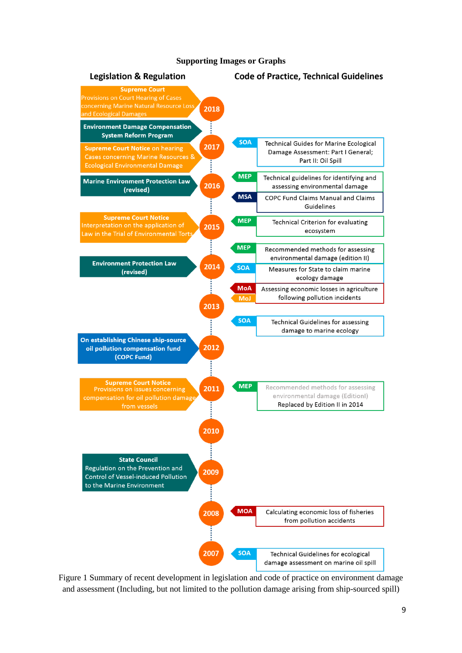

#### **Supporting Images or Graphs**

Figure 1 Summary of recent development in legislation and code of practice on environment damage and assessment (Including, but not limited to the pollution damage arising from ship-sourced spill)